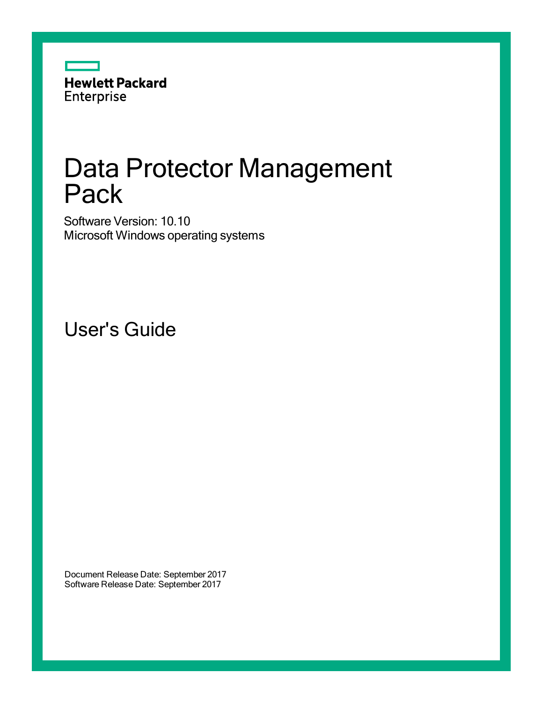

# Data Protector Management Pack

Software Version: 10.10 Microsoft Windows operating systems

User's Guide

Document Release Date: September 2017 Software Release Date: September 2017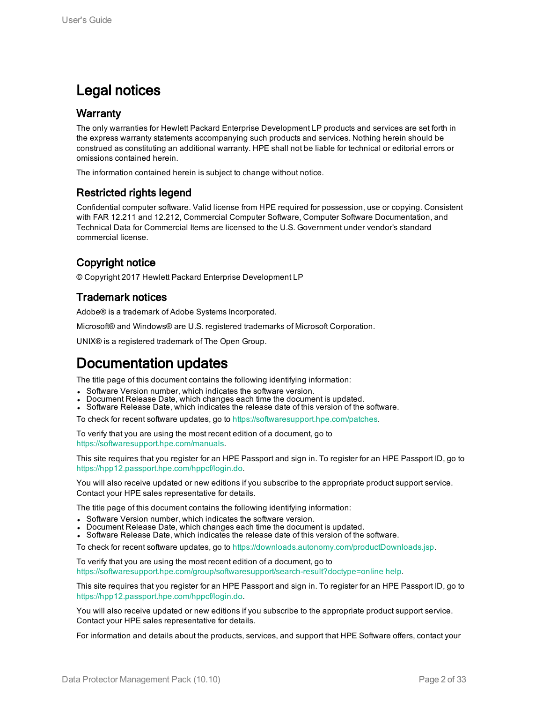### Legal notices

#### **Warranty**

The only warranties for Hewlett Packard Enterprise Development LP products and services are set forth in the express warranty statements accompanying such products and services. Nothing herein should be construed as constituting an additional warranty. HPE shall not be liable for technical or editorial errors or omissions contained herein.

The information contained herein is subject to change without notice.

#### Restricted rights legend

Confidential computer software. Valid license from HPE required for possession, use or copying. Consistent with FAR 12.211 and 12.212, Commercial Computer Software, Computer Software Documentation, and Technical Data for Commercial Items are licensed to the U.S. Government under vendor's standard commercial license.

#### Copyright notice

© Copyright 2017 Hewlett Packard Enterprise Development LP

#### Trademark notices

Adobe® is a trademark of Adobe Systems Incorporated.

Microsoft® and Windows® are U.S. registered trademarks of Microsoft Corporation.

UNIX® is a registered trademark of The Open Group.

### Documentation updates

The title page of this document contains the following identifying information:

- Software Version number, which indicates the software version.
- Document Release Date, which changes each time the document is updated.
- Software Release Date, which indicates the release date of this version of the software.
- To check for recent software updates, go to <https://softwaresupport.hpe.com/patches>.

To verify that you are using the most recent edition of a document, go to [https://softwaresupport.hpe.com/manuals.](https://softwaresupport.hpe.com/manuals)

This site requires that you register for an HPE Passport and sign in. To register for an HPE Passport ID, go to [https://hpp12.passport.hpe.com/hppcf/login.do.](https://hpp12.passport.hpe.com/hppcf/login.do)

You will also receive updated or new editions if you subscribe to the appropriate product support service. Contact your HPE sales representative for details.

The title page of this document contains the following identifying information:

- Software Version number, which indicates the software version.
- Document Release Date, which changes each time the document is updated.
- Software Release Date, which indicates the release date of this version of the software.

To check for recent software updates, go to [https://downloads.autonomy.com/productDownloads.jsp.](https://downloads.autonomy.com/productDownloads.jsp)

To verify that you are using the most recent edition of a document, go to [https://softwaresupport.hpe.com/group/softwaresupport/search-result?doctype=online](https://softwaresupport.hpe.com/group/softwaresupport/search-result?doctype=online help) help.

This site requires that you register for an HPE Passport and sign in. To register for an HPE Passport ID, go to [https://hpp12.passport.hpe.com/hppcf/login.do.](https://hpp12.passport.hpe.com/hppcf/login.do)

You will also receive updated or new editions if you subscribe to the appropriate product support service. Contact your HPE sales representative for details.

For information and details about the products, services, and support that HPE Software offers, contact your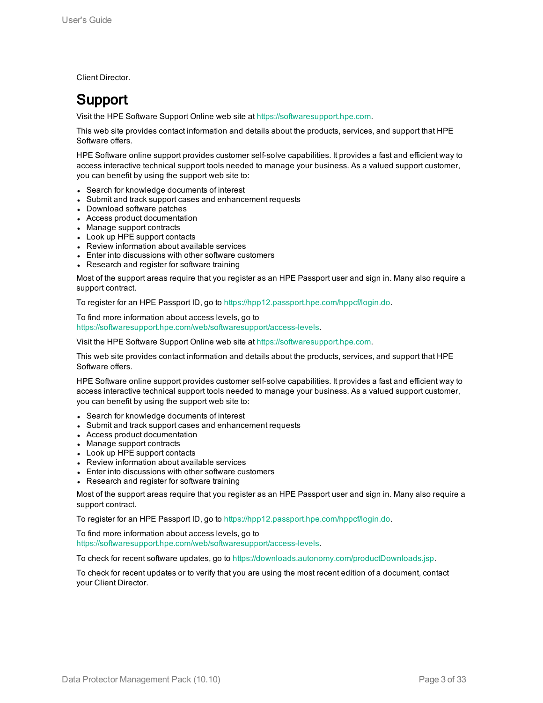Client Director.

### Support

Visit the HPE Software Support Online web site at [https://softwaresupport.hpe.com](https://softwaresupport.hpe.com/).

This web site provides contact information and details about the products, services, and support that HPE Software offers.

HPE Software online support provides customer self-solve capabilities. It provides a fast and efficient way to access interactive technical support tools needed to manage your business. As a valued support customer, you can benefit by using the support web site to:

- Search for knowledge documents of interest
- Submit and track support cases and enhancement requests
- Download software patches
- Access product documentation
- Manage support contracts
- Look up HPE support contacts
- Review information about available services
- Enter into discussions with other software customers
- Research and register for software training

Most of the support areas require that you register as an HPE Passport user and sign in. Many also require a support contract.

To register for an HPE Passport ID, go to <https://hpp12.passport.hpe.com/hppcf/login.do>.

To find more information about access levels, go to <https://softwaresupport.hpe.com/web/softwaresupport/access-levels>.

Visit the HPE Software Support Online web site at [https://softwaresupport.hpe.com](https://softwaresupport.hpe.com/).

This web site provides contact information and details about the products, services, and support that HPE Software offers.

HPE Software online support provides customer self-solve capabilities. It provides a fast and efficient way to access interactive technical support tools needed to manage your business. As a valued support customer, you can benefit by using the support web site to:

- Search for knowledge documents of interest
- Submit and track support cases and enhancement requests
- Access product documentation
- Manage support contracts
- Look up HPE support contacts
- Review information about available services
- Enter into discussions with other software customers
- Research and register for software training

Most of the support areas require that you register as an HPE Passport user and sign in. Many also require a support contract.

To register for an HPE Passport ID, go to <https://hpp12.passport.hpe.com/hppcf/login.do>.

To find more information about access levels, go to <https://softwaresupport.hpe.com/web/softwaresupport/access-levels>.

To check for recent software updates, go to [https://downloads.autonomy.com/productDownloads.jsp.](https://downloads.autonomy.com/productDownloads.jsp)

To check for recent updates or to verify that you are using the most recent edition of a document, contact your Client Director.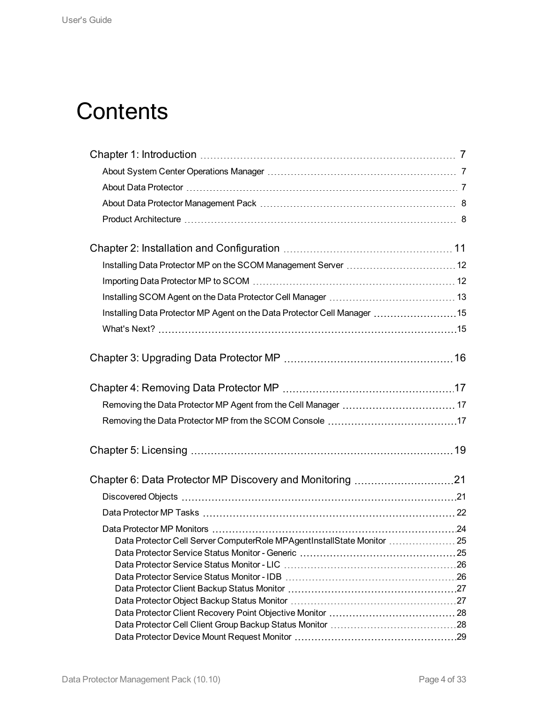# **Contents**

| Installing Data Protector MP Agent on the Data Protector Cell Manager 15 |  |
|--------------------------------------------------------------------------|--|
|                                                                          |  |
|                                                                          |  |
|                                                                          |  |
|                                                                          |  |
|                                                                          |  |
|                                                                          |  |
|                                                                          |  |
|                                                                          |  |
|                                                                          |  |
|                                                                          |  |
|                                                                          |  |
| Data Protector Cell Server ComputerRole MPAgentInstallState Monitor  25  |  |
|                                                                          |  |
|                                                                          |  |
|                                                                          |  |
|                                                                          |  |
|                                                                          |  |
|                                                                          |  |
|                                                                          |  |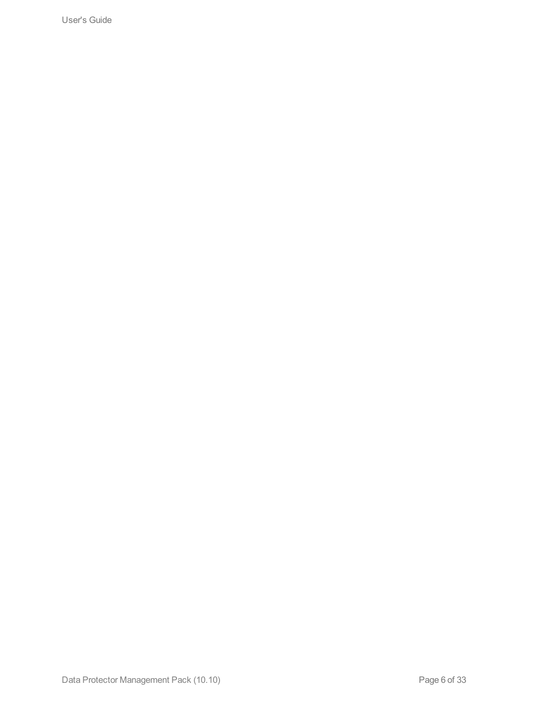User's Guide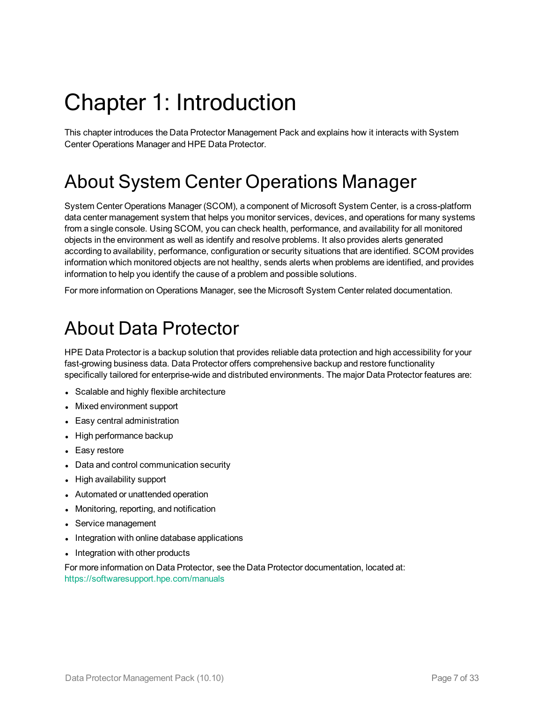# <span id="page-6-0"></span>Chapter 1: Introduction

This chapter introduces the Data Protector Management Pack and explains how it interacts with System Center Operations Manager and HPE Data Protector.

## <span id="page-6-1"></span>About System Center Operations Manager

System Center Operations Manager (SCOM), a component of Microsoft System Center, is a cross-platform data center management system that helps you monitor services, devices, and operations for many systems from a single console. Using SCOM, you can check health, performance, and availability for all monitored objects in the environment as well as identify and resolve problems. It also provides alerts generated according to availability, performance, configuration or security situations that are identified. SCOM provides information which monitored objects are not healthy, sends alerts when problems are identified, and provides information to help you identify the cause of a problem and possible solutions.

<span id="page-6-2"></span>For more information on Operations Manager, see the Microsoft System Center related documentation.

## About Data Protector

HPE Data Protector is a backup solution that provides reliable data protection and high accessibility for your fast-growing business data. Data Protector offers comprehensive backup and restore functionality specifically tailored for enterprise-wide and distributed environments. The major Data Protector features are:

- Scalable and highly flexible architecture
- Mixed environment support
- Easy central administration
- High performance backup
- Easy restore
- Data and control communication security
- High availability support
- Automated or unattended operation
- Monitoring, reporting, and notification
- Service management
- Integration with online database applications
- Integration with other products

For more information on Data Protector, see the Data Protector documentation, located at: <https://softwaresupport.hpe.com/manuals>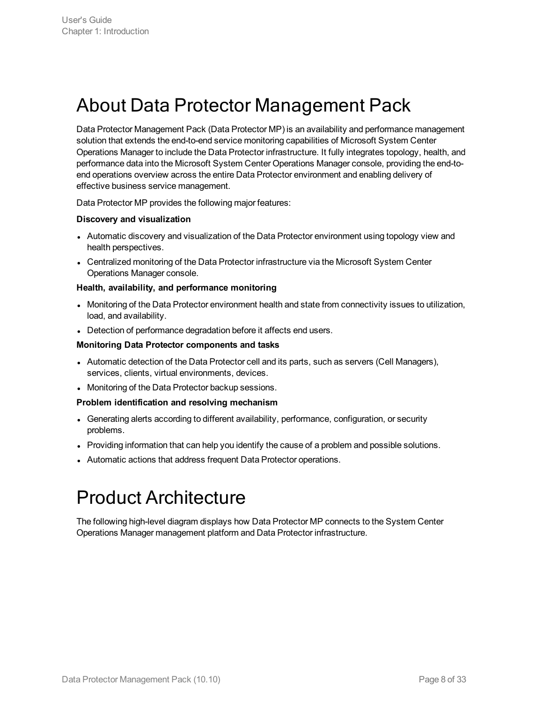## <span id="page-7-0"></span>About Data Protector Management Pack

Data Protector Management Pack (Data Protector MP) is an availability and performance management solution that extends the end-to-end service monitoring capabilities of Microsoft System Center Operations Manager to include the Data Protector infrastructure. It fully integrates topology, health, and performance data into the Microsoft System Center Operations Manager console, providing the end-toend operations overview across the entire Data Protector environment and enabling delivery of effective business service management.

Data Protector MP provides the following major features:

#### **Discovery and visualization**

- Automatic discovery and visualization of the Data Protector environment using topology view and health perspectives.
- Centralized monitoring of the Data Protector infrastructure via the Microsoft System Center Operations Manager console.

#### **Health, availability, and performance monitoring**

- Monitoring of the Data Protector environment health and state from connectivity issues to utilization, load, and availability.
- Detection of performance degradation before it affects end users.

#### **Monitoring Data Protector components and tasks**

- Automatic detection of the Data Protector cell and its parts, such as servers (Cell Managers), services, clients, virtual environments, devices.
- Monitoring of the Data Protector backup sessions.

#### **Problem identification and resolving mechanism**

- Generating alerts according to different availability, performance, configuration, or security problems.
- Providing information that can help you identify the cause of a problem and possible solutions.
- <span id="page-7-1"></span>• Automatic actions that address frequent Data Protector operations.

### Product Architecture

The following high-level diagram displays how Data Protector MP connects to the System Center Operations Manager management platform and Data Protector infrastructure.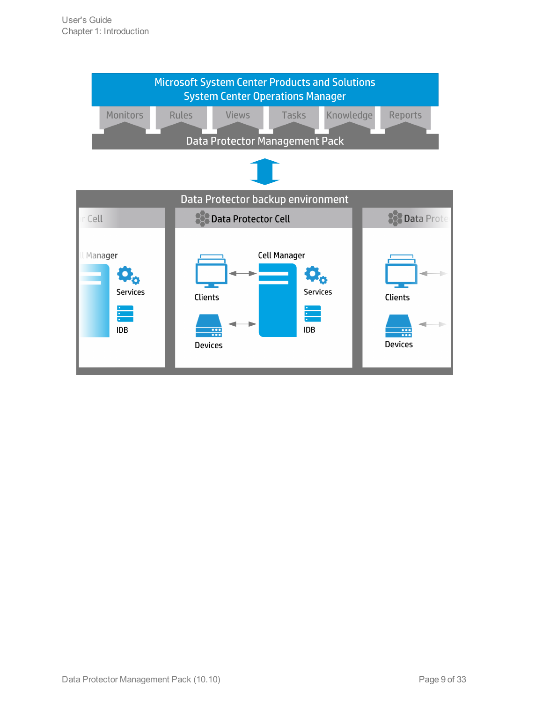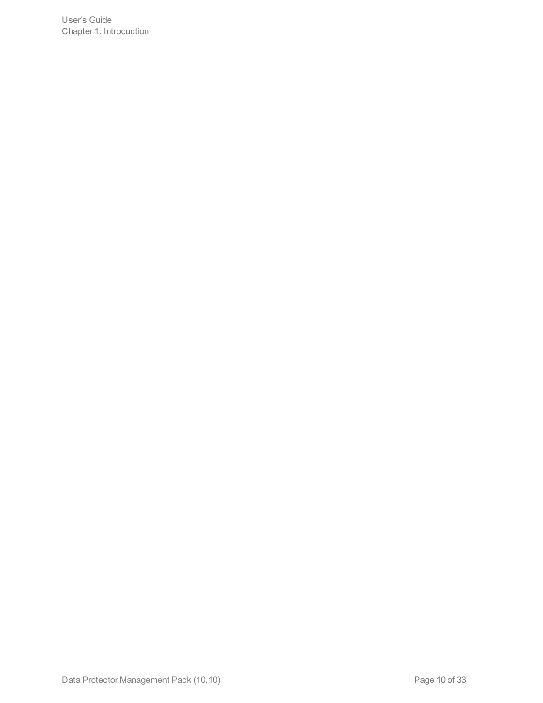User's Guide Chapter 1: Introduction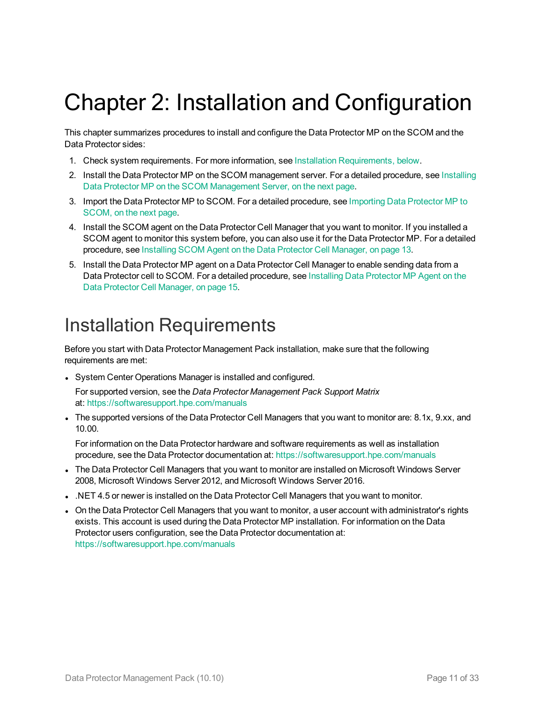# <span id="page-10-0"></span>Chapter 2: Installation and Configuration

This chapter summarizes procedures to install and configure the Data Protector MP on the SCOM and the Data Protector sides:

- 1. Check system requirements. For more information, see Installation [Requirements,](#page-10-1) below.
- 2. Install the Data Protector MP on the SCOM management server. For a detailed procedure, see [Installing](#page-11-0) Data Protector MP on the SCOM [Management](#page-11-0) Server, on the next page.
- 3. Import the Data Protector MP to SCOM. For a detailed procedure, see [Importing](#page-11-1) Data Protector MP to [SCOM,](#page-11-1) on the next page.
- 4. Install the SCOM agent on the Data Protector Cell Manager that you want to monitor. If you installed a SCOM agent to monitor this system before, you can also use it for the Data Protector MP. For a detailed procedure, see Installing SCOM Agent on the Data Protector Cell [Manager,](#page-12-0) on page 13.
- 5. Install the Data Protector MP agent on a Data Protector Cell Manager to enable sending data from a Data Protector cell to SCOM. For a detailed procedure, see Installing Data [Protector](#page-14-0) MP Agent on the Data Protector Cell [Manager,](#page-14-0) on page 15.

### <span id="page-10-1"></span>Installation Requirements

Before you start with Data Protector Management Pack installation, make sure that the following requirements are met:

• System Center Operations Manager is installed and configured.

For supported version, see the *Data Protector Management Pack Support Matrix* at:<https://softwaresupport.hpe.com/manuals>

The supported versions of the Data Protector Cell Managers that you want to monitor are: 8.1x, 9.xx, and 10.00.

For information on the Data Protector hardware and software requirements as well as installation procedure, see the Data Protector documentation at: <https://softwaresupport.hpe.com/manuals>

- The Data Protector Cell Managers that you want to monitor are installed on Microsoft Windows Server 2008, Microsoft Windows Server 2012, and Microsoft Windows Server 2016.
- . NET 4.5 or newer is installed on the Data Protector Cell Managers that you want to monitor.
- On the Data Protector Cell Managers that you want to monitor, a user account with administrator's rights exists. This account is used during the Data Protector MP installation. For information on the Data Protector users configuration, see the Data Protector documentation at: <https://softwaresupport.hpe.com/manuals>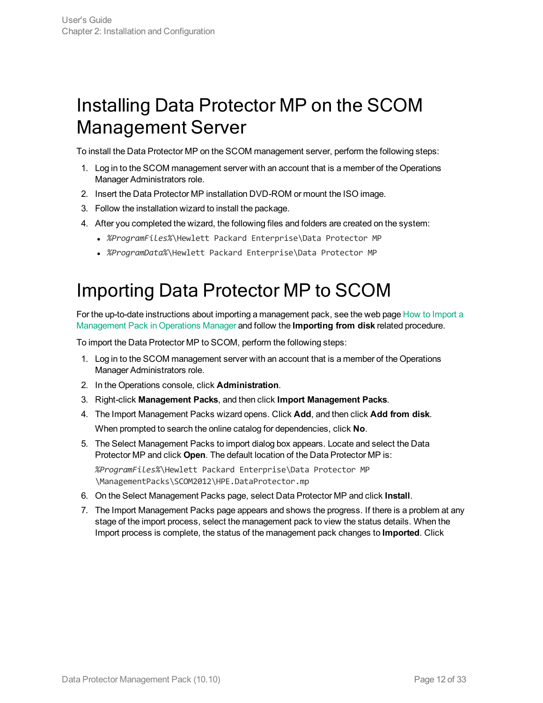## <span id="page-11-0"></span>Installing Data Protector MP on the SCOM Management Server

To install the Data Protector MP on the SCOM management server, perform the following steps:

- 1. Log in to the SCOM management server with an account that is a member of the Operations Manager Administrators role.
- 2. Insert the Data Protector MP installation DVD-ROM or mount the ISO image.
- 3. Follow the installation wizard to install the package.
- 4. After you completed the wizard, the following files and folders are created on the system:
	- <sup>l</sup> *%ProgramFiles%*\Hewlett Packard Enterprise\Data Protector MP
	- <sup>l</sup> *%ProgramData%*\Hewlett Packard Enterprise\Data Protector MP

## <span id="page-11-1"></span>Importing Data Protector MP to SCOM

For the up-to-date instructions about importing a management pack, see the web page How to [Import](http://technet.microsoft.com/en-us/library/hh212691.aspx) a [Management](http://technet.microsoft.com/en-us/library/hh212691.aspx) Pack in Operations Manager and follow the **Importing from disk** related procedure.

To import the Data Protector MP to SCOM, perform the following steps:

- 1. Log in to the SCOM management server with an account that is a member of the Operations Manager Administrators role.
- 2. In the Operations console, click **Administration**.
- 3. Right-click **Management Packs**, and then click **Import Management Packs**.
- 4. The Import Management Packs wizard opens. Click **Add**, and then click **Add from disk**. When prompted to search the online catalog for dependencies, click **No**.
- 5. The Select Management Packs to import dialog box appears. Locate and select the Data Protector MP and click **Open**. The default location of the Data Protector MP is:

*%ProgramFiles%*\Hewlett Packard Enterprise\Data Protector MP \ManagementPacks\SCOM2012\HPE.DataProtector.mp

- 6. On the Select Management Packs page, select Data Protector MP and click **Install**.
- 7. The Import Management Packs page appears and shows the progress. If there is a problem at any stage of the import process, select the management pack to view the status details. When the Import process is complete, the status of the management pack changes to **Imported**. Click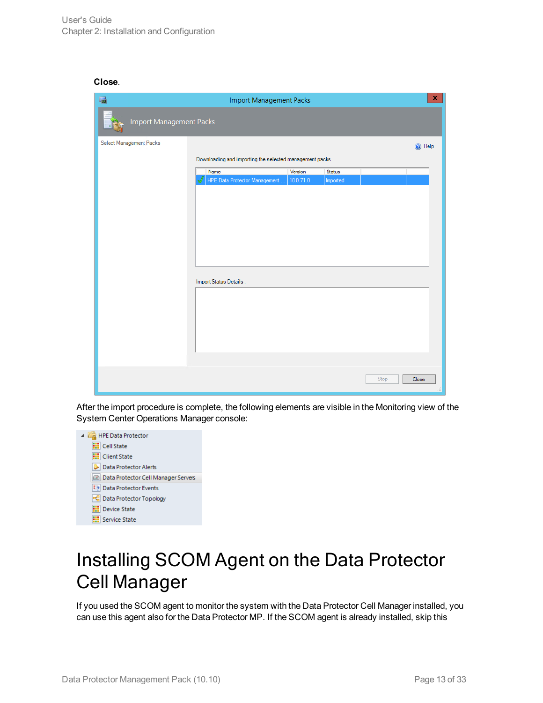| m.<br>٠<br>ł<br>×<br>×<br>۰.<br>۰,<br>×<br>٩ |  |
|----------------------------------------------|--|
|----------------------------------------------|--|

| 晟                       | <b>Import Management Packs</b>                           | x      |
|-------------------------|----------------------------------------------------------|--------|
| Import Management Packs |                                                          |        |
| Select Management Packs |                                                          | @ Help |
|                         | Downloading and importing the selected management packs. |        |
|                         | Version<br>Name<br><b>Status</b><br>10.0.71.0            |        |
|                         | <b>HPE Data Protector Management.</b><br>Imported        |        |
|                         |                                                          |        |
|                         |                                                          |        |
|                         |                                                          |        |
|                         |                                                          |        |
|                         |                                                          |        |
|                         | Import Status Details :                                  |        |
|                         |                                                          |        |
|                         |                                                          |        |
|                         |                                                          |        |
|                         |                                                          |        |
|                         |                                                          |        |
|                         |                                                          |        |
|                         | Stop                                                     | Close  |

After the import procedure is complete, the following elements are visible in the Monitoring view of the System Center Operations Manager console:



## <span id="page-12-0"></span>Installing SCOM Agent on the Data Protector Cell Manager

If you used the SCOM agent to monitor the system with the Data Protector Cell Manager installed, you can use this agent also for the Data Protector MP. If the SCOM agent is already installed, skip this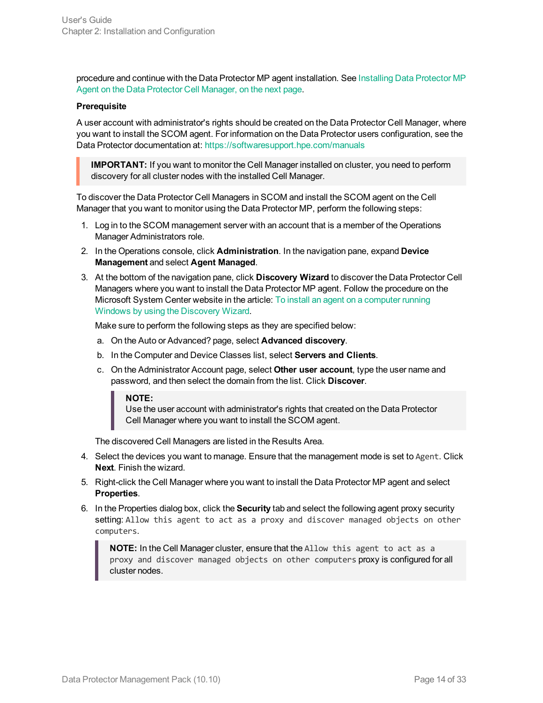procedure and continue with the Data Protector MP agent installation. See Installing Data [Protector](#page-14-0) MP Agent on the Data Protector Cell [Manager,](#page-14-0) on the next page.

#### **Prerequisite**

A user account with administrator's rights should be created on the Data Protector Cell Manager, where you want to install the SCOM agent. For information on the Data Protector users configuration, see the Data Protector documentation at: <https://softwaresupport.hpe.com/manuals>

**IMPORTANT:** If you want to monitor the Cell Manager installed on cluster, you need to perform discovery for all cluster nodes with the installed Cell Manager.

To discover the Data Protector Cell Managers in SCOM and install the SCOM agent on the Cell Manager that you want to monitor using the Data Protector MP, perform the following steps:

- 1. Log in to the SCOM management server with an account that is a member of the Operations Manager Administrators role.
- 2. In the Operations console, click **Administration**. In the navigation pane, expand **Device Management** and select **Agent Managed**.
- 3. At the bottom of the navigation pane, click **Discovery Wizard** to discover the Data Protector Cell Managers where you want to install the Data Protector MP agent. Follow the procedure on the Microsoft System Center website in the article: To install an agent on a [computer](http://technet.microsoft.com/en-us/library/hh230731.aspx) running Windows by using the [Discovery](http://technet.microsoft.com/en-us/library/hh230731.aspx) Wizard.

Make sure to perform the following steps as they are specified below:

- a. On the Auto or Advanced? page, select **Advanced discovery**.
- b. In the Computer and Device Classes list, select **Servers and Clients**.
- c. On the Administrator Account page, select **Other user account**, type the user name and password, and then select the domain from the list. Click **Discover**.

#### **NOTE:**

Use the user account with administrator's rights that created on the Data Protector Cell Manager where you want to install the SCOM agent.

The discovered Cell Managers are listed in the Results Area.

- 4. Select the devices you want to manage. Ensure that the management mode is set to Agent. Click **Next**. Finish the wizard.
- 5. Right-click the Cell Manager where you want to install the Data Protector MP agent and select **Properties**.
- 6. In the Properties dialog box, click the **Security** tab and select the following agent proxy security setting: Allow this agent to act as a proxy and discover managed objects on other computers.

**NOTE:** In the Cell Manager cluster, ensure that the Allow this agent to act as a proxy and discover managed objects on other computers proxy is configured for all cluster nodes.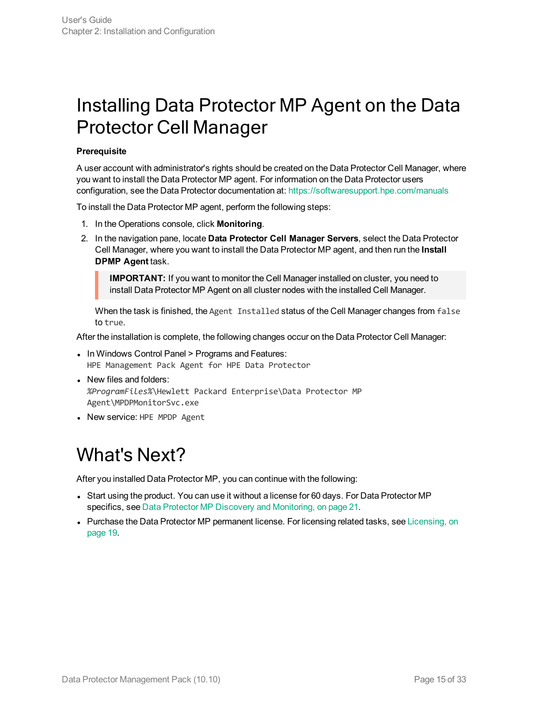## <span id="page-14-0"></span>Installing Data Protector MP Agent on the Data Protector Cell Manager

#### **Prerequisite**

A user account with administrator's rights should be created on the Data Protector Cell Manager, where you want to install the Data Protector MP agent. For information on the Data Protector users configuration, see the Data Protector documentation at: <https://softwaresupport.hpe.com/manuals>

To install the Data Protector MP agent, perform the following steps:

- 1. In the Operations console, click **Monitoring**.
- 2. In the navigation pane, locate **Data Protector Cell Manager Servers**, select the Data Protector Cell Manager, where you want to install the Data Protector MP agent, and then run the **Install DPMP Agent** task.

**IMPORTANT:** If you want to monitor the Cell Manager installed on cluster, you need to install Data Protector MP Agent on all cluster nodes with the installed Cell Manager.

When the task is finished, the Agent Installed status of the Cell Manager changes from false to true.

After the installation is complete, the following changes occur on the Data Protector Cell Manager:

- In Windows Control Panel > Programs and Features: HPE Management Pack Agent for HPE Data Protector
- New files and folders: *%ProgramFiles%*\Hewlett Packard Enterprise\Data Protector MP Agent\MPDPMonitorSvc.exe
- <span id="page-14-1"></span>• New service: HPE MPDP Agent

## What's Next?

After you installed Data Protector MP, you can continue with the following:

- Start using the product. You can use it without a license for 60 days. For Data Protector MP specifics, see Data Protector MP Discovery and [Monitoring,](#page-20-0) on page 21.
- Purchase the Data Protector MP permanent license. For licensing related tasks, see [Licensing,](#page-18-0) on [page 19](#page-18-0).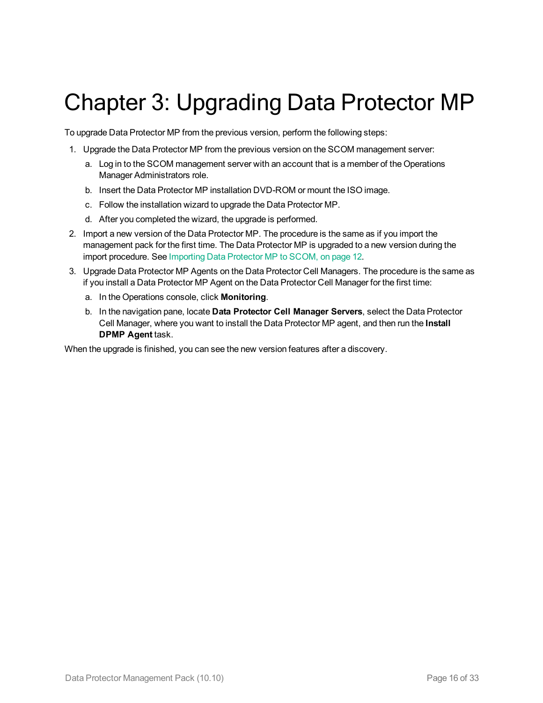# <span id="page-15-0"></span>Chapter 3: Upgrading Data Protector MP

To upgrade Data Protector MP from the previous version, perform the following steps:

- 1. Upgrade the Data Protector MP from the previous version on the SCOM management server:
	- a. Log in to the SCOM management server with an account that is a member of the Operations Manager Administrators role.
	- b. Insert the Data Protector MP installation DVD-ROM or mount the ISO image.
	- c. Follow the installation wizard to upgrade the Data Protector MP.
	- d. After you completed the wizard, the upgrade is performed.
- 2. Import a new version of the Data Protector MP. The procedure is the same as if you import the management pack for the first time. The Data Protector MP is upgraded to a new version during the import procedure. See [Importing](#page-11-1) Data Protector MP to SCOM, on page 12.
- 3. Upgrade Data Protector MP Agents on the Data Protector Cell Managers. The procedure is the same as if you install a Data Protector MP Agent on the Data Protector Cell Manager for the first time:
	- a. In the Operations console, click **Monitoring**.
	- b. In the navigation pane, locate **Data Protector Cell Manager Servers**, select the Data Protector Cell Manager, where you want to install the Data Protector MP agent, and then run the **Install DPMP Agent** task.

When the upgrade is finished, you can see the new version features after a discovery.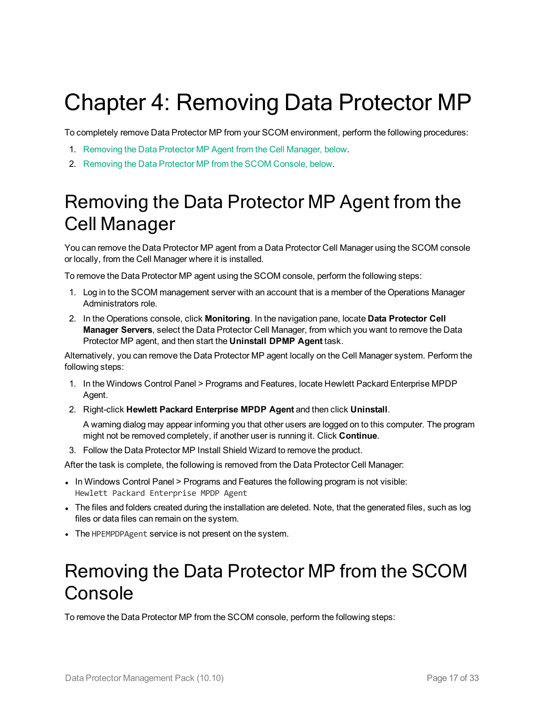# <span id="page-16-0"></span>Chapter 4: Removing Data Protector MP

To completely remove Data Protector MP from your SCOM environment, perform the following procedures:

- <span id="page-16-1"></span>1. [Removing](#page-16-1) the Data Protector MP Agent from the Cell Manager, below.
- 2. [Removing](#page-16-2) the Data Protector MP from the SCOM Console, below.

# Removing the Data Protector MP Agent from the Cell Manager

You can remove the Data Protector MP agent from a Data Protector Cell Manager using the SCOM console or locally, from the Cell Manager where it is installed.

To remove the Data Protector MP agent using the SCOM console, perform the following steps:

- 1. Log in to the SCOM management server with an account that is a member of the Operations Manager Administrators role.
- 2. In the Operations console, click **Monitoring**. In the navigation pane, locate **Data Protector Cell Manager Servers**, select the Data Protector Cell Manager, from which you want to remove the Data Protector MP agent, and then start the **Uninstall DPMP Agent** task.

Alternatively, you can remove the Data Protector MP agent locally on the Cell Manager system. Perform the following steps:

- 1. In the Windows Control Panel > Programs and Features, locate Hewlett Packard Enterprise MPDP Agent.
- 2. Right-click **Hewlett Packard Enterprise MPDP Agent** and then click **Uninstall**.

A warning dialog may appear informing you that other users are logged on to this computer. The program might not be removed completely, if another user is running it. Click **Continue**.

3. Follow the Data Protector MP Install Shield Wizard to remove the product.

After the task is complete, the following is removed from the Data Protector Cell Manager:

- In Windows Control Panel > Programs and Features the following program is not visible: Hewlett Packard Enterprise MPDP Agent
- The files and folders created during the installation are deleted. Note, that the generated files, such as log files or data files can remain on the system.
- <span id="page-16-2"></span>• The HPEMPDPAgent service is not present on the system.

## Removing the Data Protector MP from the SCOM Console

To remove the Data Protector MP from the SCOM console, perform the following steps: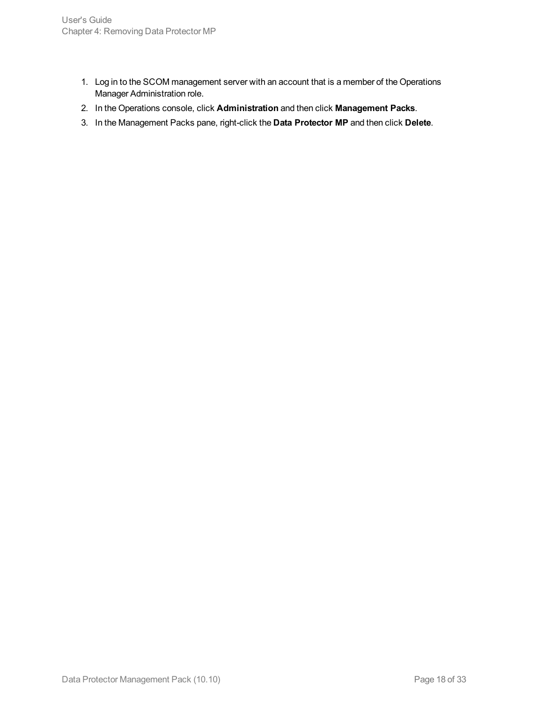- 1. Log in to the SCOM management server with an account that is a member of the Operations Manager Administration role.
- 2. In the Operations console, click **Administration** and then click **Management Packs**.
- 3. In the Management Packs pane, right-click the **Data Protector MP** and then click **Delete**.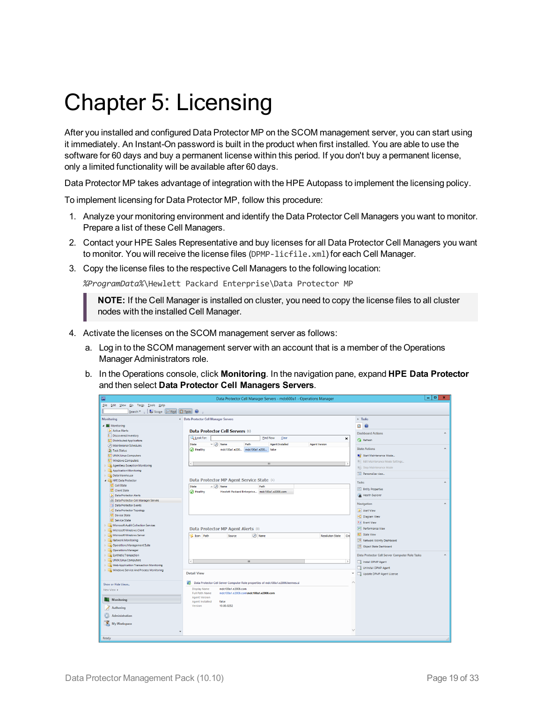# <span id="page-18-0"></span>Chapter 5: Licensing

After you installed and configured Data Protector MP on the SCOM management server, you can start using it immediately. An Instant-On password is built in the product when first installed. You are able to use the software for 60 days and buy a permanent license within this period. If you don't buy a permanent license, only a limited functionality will be available after 60 days.

Data Protector MP takes advantage of integration with the HPE Autopass to implement the licensing policy.

To implement licensing for Data Protector MP, follow this procedure:

- 1. Analyze your monitoring environment and identify the Data Protector Cell Managers you want to monitor. Prepare a list of these Cell Managers.
- 2. Contact your HPE Sales Representative and buy licenses for all Data Protector Cell Managers you want to monitor. You will receive the license files (DPMP-licfile.xml) for each Cell Manager.
- 3. Copy the license files to the respective Cell Managers to the following location:

*%ProgramData%*\Hewlett Packard Enterprise\Data Protector MP

**NOTE:** If the Cell Manager is installed on cluster, you need to copy the license files to all cluster nodes with the installed Cell Manager.

- 4. Activate the licenses on the SCOM management server as follows:
	- a. Log in to the SCOM management server with an account that is a member of the Operations Manager Administrators role.
	- b. In the Operations console, click **Monitoring**. In the navigation pane, expand **HPE Data Protector** and then select **Data Protector Cell Managers Servers**.

| 圖                                            | Data Protector Cell Manager Servers - mds600a1 - Operations Manager                  | $-10x$                                                      |
|----------------------------------------------|--------------------------------------------------------------------------------------|-------------------------------------------------------------|
| File Edit View Go Tasks Tools Help           |                                                                                      |                                                             |
| Search " -   4 Scope   P Find   1 Tasks   0  |                                                                                      |                                                             |
| Monitoring                                   | < Data Protector Cell Manager Servers                                                | > Tasks                                                     |
| A <b>Nonitoring</b>                          |                                                                                      | 00                                                          |
| Active Alerts                                | Data Protector Cell Servers (1)                                                      | <b>Dashboard Actions</b><br>$\lambda$                       |
| Discovered Inventory                         | <b>Q</b> Look for:<br><b>Find Now</b><br>Clear<br>$\boldsymbol{\mathsf{x}}$          |                                                             |
| <b>EE</b> Distributed Applications           |                                                                                      | Refresh                                                     |
| A Maintenance Schedules                      | $ \oslash$ Name<br><b>State</b><br>Path<br><b>Agent Installed</b><br>Agent Version   | <b>State Actions</b><br>$\hat{\phantom{a}}$                 |
| Task Status                                  | A Healthy<br>mdc100a1.e200<br>mdc100a1.e200<br>false                                 |                                                             |
| UNIX/Linux Computers                         |                                                                                      | Start Maintenance Mode                                      |
| <b>EE</b> Windows Computers                  | $\mathbf{m}$                                                                         | Edit Maintenance Mode Settings                              |
| Agentless Exception Monitoring               |                                                                                      | Stop Maintenance Mode                                       |
| Application Monitoring<br>Data Warehouse     |                                                                                      | THE Personalize view                                        |
| A Light HPE Data Protector                   | Data Protector MP Agent Service State (1)                                            |                                                             |
| Cell State                                   |                                                                                      | Tasks<br>$\hat{\phantom{a}}$                                |
| <b>ED</b> Client State                       | $\angle$ $\otimes$ Name<br>State<br>Path                                             | <b>Entity Properties</b>                                    |
| Data Protector Alerts                        | <b>B</b> Healthy<br>Hewlett Packard Enterprise mdc100a1.e2008.com                    | Health Explorer                                             |
| <b>2 Data Protector Cell Manager Servers</b> |                                                                                      |                                                             |
| # 2 Data Protector Events                    |                                                                                      | Navigation<br>$\hat{\phantom{a}}$                           |
| Data Protector Topology                      |                                                                                      | Alert View                                                  |
| <b>III</b> Device State                      |                                                                                      | C Diagram View                                              |
| Service State                                |                                                                                      | <b>La Event View</b>                                        |
| Microsoft Audit Collection Services          |                                                                                      |                                                             |
| Microsoft Windows Client                     | Data Protector MP Agent Alerts (0)                                                   | Ded Performance View                                        |
| Microsoft Windows Server                     | Name<br>C Icon Path<br>Source<br><b>Resolution State</b><br>Cre                      | <b>EE</b> State View                                        |
| Network Monitoring                           |                                                                                      | <b>Red</b> Network Vicinity Dashboard                       |
| Operations Management Suite                  |                                                                                      | <b>DE Object State Dashboard</b>                            |
| Operations Manager                           |                                                                                      |                                                             |
| <b>Synthetic Transaction</b>                 |                                                                                      | Data Protector Cell Server Computer Role Tasks<br>$\lambda$ |
| <b>D</b> UNIX/Linux Computers                | $\left\langle \cdot \right\rangle$<br>$\rightarrow$<br>HI.                           | Install DPMP Agent                                          |
| Meb Application Transaction Monitoring       |                                                                                      | Uninstall DPMP Agent                                        |
| Mindows Service And Process Monitoring       | <b>Detail View</b>                                                                   | Update DPMP Agent License                                   |
|                                              |                                                                                      |                                                             |
| Show or Hide Views                           | ø<br>Data Protector Cell Server Computer Role properties of mdc100a1.e2008.hermes.si |                                                             |
| New View >                                   | <b>Display Name</b><br>mdc100a1.e2008.com                                            |                                                             |
|                                              | <b>Full Path Name</b><br>mdc100a1.e2008.com\mdc100a1.e2008.com                       |                                                             |
| Monitoring                                   | <b>Agent Version</b><br><b>Agent Installed</b><br>false                              |                                                             |
|                                              | 10.00.0252<br>Version                                                                |                                                             |
| Authoring                                    |                                                                                      |                                                             |
| Administration                               |                                                                                      |                                                             |
| My Workspace                                 |                                                                                      |                                                             |
|                                              |                                                                                      |                                                             |
| Ready                                        |                                                                                      |                                                             |
|                                              |                                                                                      |                                                             |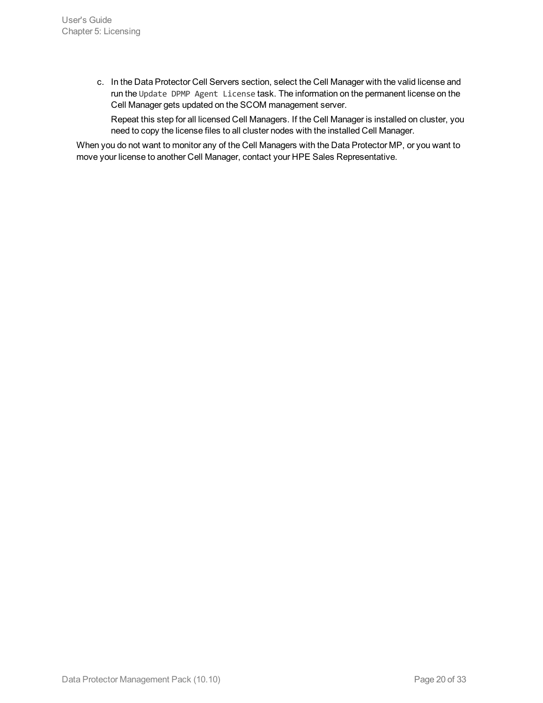c. In the Data Protector Cell Servers section, select the Cell Manager with the valid license and run the Update DPMP Agent License task. The information on the permanent license on the Cell Manager gets updated on the SCOM management server.

Repeat this step for all licensed Cell Managers. If the Cell Manager is installed on cluster, you need to copy the license files to all cluster nodes with the installed Cell Manager.

When you do not want to monitor any of the Cell Managers with the Data Protector MP, or you want to move your license to another Cell Manager, contact your HPE Sales Representative.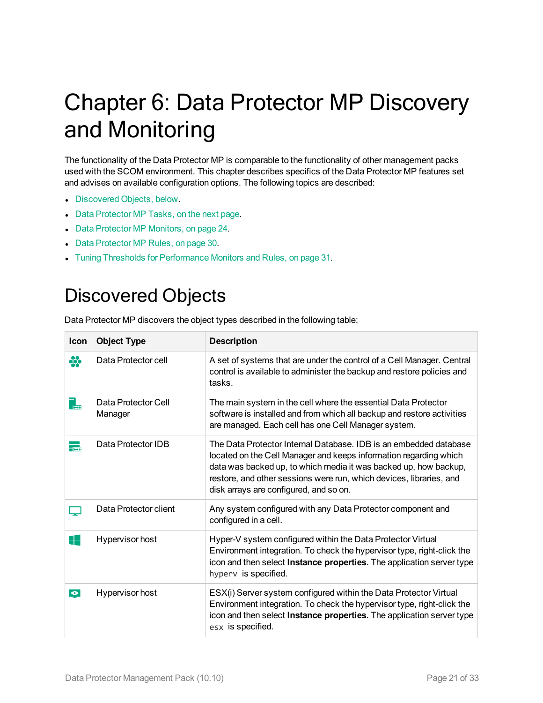# <span id="page-20-0"></span>Chapter 6: Data Protector MP Discovery and Monitoring

The functionality of the Data Protector MP is comparable to the functionality of other management packs used with the SCOM environment. This chapter describes specifics of the Data Protector MP features set and advises on available configuration options. The following topics are described:

- **.** [Discovered](#page-20-1) Objects, below.
- Data [Protector](#page-21-0) MP Tasks, on the next page.
- Data Protector MP [Monitors,](#page-23-0) on page 24.
- Data [Protector](#page-29-0) MP Rules, on page 30.
- <span id="page-20-1"></span>• Tuning Thresholds for [Performance](#page-30-0) Monitors and Rules, on page 31.

### Discovered Objects

Data Protector MP discovers the object types described in the following table:

| <b>Icon</b>              | <b>Object Type</b>             | <b>Description</b>                                                                                                                                                                                                                                                                                                          |
|--------------------------|--------------------------------|-----------------------------------------------------------------------------------------------------------------------------------------------------------------------------------------------------------------------------------------------------------------------------------------------------------------------------|
| ₩                        | Data Protector cell            | A set of systems that are under the control of a Cell Manager. Central<br>control is available to administer the backup and restore policies and<br>tasks.                                                                                                                                                                  |
| <b>fl.</b>               | Data Protector Cell<br>Manager | The main system in the cell where the essential Data Protector<br>software is installed and from which all backup and restore activities<br>are managed. Each cell has one Cell Manager system.                                                                                                                             |
| $\overline{\phantom{a}}$ | Data Protector IDB             | The Data Protector Internal Database. IDB is an embedded database<br>located on the Cell Manager and keeps information regarding which<br>data was backed up, to which media it was backed up, how backup,<br>restore, and other sessions were run, which devices, libraries, and<br>disk arrays are configured, and so on. |
| $\Box$                   | Data Protector client          | Any system configured with any Data Protector component and<br>configured in a cell.                                                                                                                                                                                                                                        |
| ۴E                       | Hypervisor host                | Hyper-V system configured within the Data Protector Virtual<br>Environment integration. To check the hypervisor type, right-click the<br>icon and then select Instance properties. The application server type<br>hyperv is specified.                                                                                      |
| $\bullet$                | Hypervisor host                | ESX(i) Server system configured within the Data Protector Virtual<br>Environment integration. To check the hypervisor type, right-click the<br>icon and then select <b>Instance properties</b> . The application server type<br>esx is specified.                                                                           |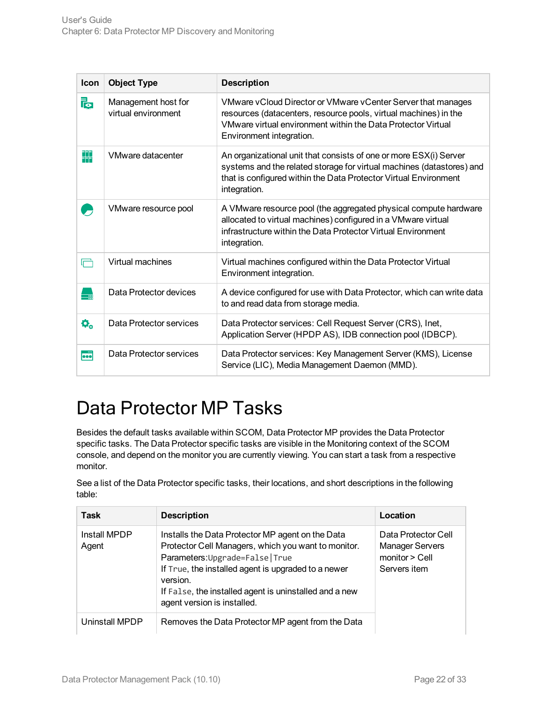| <b>Icon</b>         | <b>Object Type</b>                         | <b>Description</b>                                                                                                                                                                                                             |
|---------------------|--------------------------------------------|--------------------------------------------------------------------------------------------------------------------------------------------------------------------------------------------------------------------------------|
| Ҧ                   | Management host for<br>virtual environment | VMware vCloud Director or VMware vCenter Server that manages<br>resources (datacenters, resource pools, virtual machines) in the<br>VMware virtual environment within the Data Protector Virtual<br>Environment integration.   |
| ∏¦<br>Tii           | VMware datacenter                          | An organizational unit that consists of one or more ESX(i) Server<br>systems and the related storage for virtual machines (datastores) and<br>that is configured within the Data Protector Virtual Environment<br>integration. |
|                     | VMware resource pool                       | A VMware resource pool (the aggregated physical compute hardware<br>allocated to virtual machines) configured in a VMware virtual<br>infrastructure within the Data Protector Virtual Environment<br>integration.              |
| 冖                   | Virtual machines                           | Virtual machines configured within the Data Protector Virtual<br>Environment integration.                                                                                                                                      |
| — <del></del>       | Data Protector devices                     | A device configured for use with Data Protector, which can write data<br>to and read data from storage media.                                                                                                                  |
| $\mathbf{Q}_\alpha$ | Data Protector services                    | Data Protector services: Cell Request Server (CRS), Inet,<br>Application Server (HPDP AS), IDB connection pool (IDBCP).                                                                                                        |
|                     | Data Protector services                    | Data Protector services: Key Management Server (KMS), License<br>Service (LIC), Media Management Daemon (MMD).                                                                                                                 |

# <span id="page-21-0"></span>Data Protector MP Tasks

Besides the default tasks available within SCOM, Data Protector MP provides the Data Protector specific tasks. The Data Protector specific tasks are visible in the Monitoring context of the SCOM console, and depend on the monitor you are currently viewing. You can start a task from a respective monitor.

See a list of the Data Protector specific tasks, their locations, and short descriptions in the following table:

| Task                  | <b>Description</b>                                                                                                                                                                                                                                                                                      | Location                                                                          |
|-----------------------|---------------------------------------------------------------------------------------------------------------------------------------------------------------------------------------------------------------------------------------------------------------------------------------------------------|-----------------------------------------------------------------------------------|
| Install MPDP<br>Agent | Installs the Data Protector MP agent on the Data<br>Protector Cell Managers, which you want to monitor.<br>Parameters: Upgrade=False   True<br>If True, the installed agent is upgraded to a newer<br>version.<br>If False, the installed agent is uninstalled and a new<br>agent version is installed. | Data Protector Cell<br><b>Manager Servers</b><br>monitor $>$ Cell<br>Servers item |
| Uninstall MPDP        | Removes the Data Protector MP agent from the Data                                                                                                                                                                                                                                                       |                                                                                   |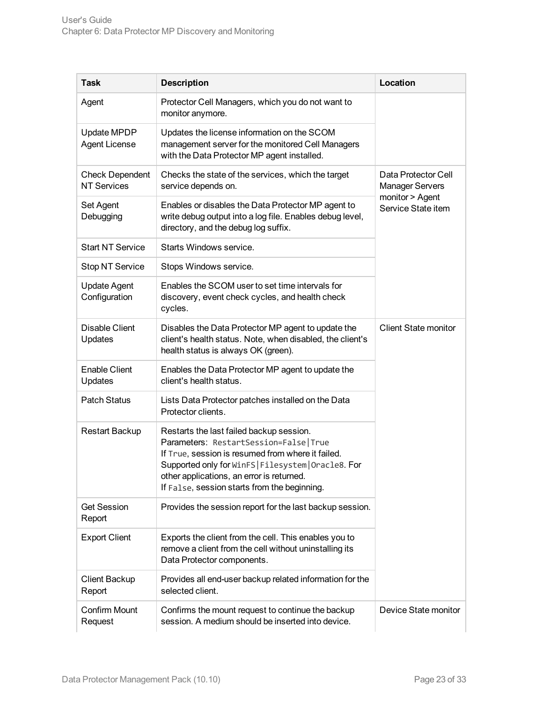| <b>Task</b>                                  | <b>Description</b>                                                                                                                                                                                                                                                                            | Location                                      |
|----------------------------------------------|-----------------------------------------------------------------------------------------------------------------------------------------------------------------------------------------------------------------------------------------------------------------------------------------------|-----------------------------------------------|
| Agent                                        | Protector Cell Managers, which you do not want to<br>monitor anymore.                                                                                                                                                                                                                         |                                               |
| Update MPDP<br><b>Agent License</b>          | Updates the license information on the SCOM<br>management server for the monitored Cell Managers<br>with the Data Protector MP agent installed.                                                                                                                                               |                                               |
| <b>Check Dependent</b><br><b>NT Services</b> | Checks the state of the services, which the target<br>service depends on.                                                                                                                                                                                                                     | Data Protector Cell<br><b>Manager Servers</b> |
| Set Agent<br>Debugging                       | Enables or disables the Data Protector MP agent to<br>write debug output into a log file. Enables debug level,<br>directory, and the debug log suffix.                                                                                                                                        | monitor > Agent<br>Service State item         |
| <b>Start NT Service</b>                      | Starts Windows service.                                                                                                                                                                                                                                                                       |                                               |
| <b>Stop NT Service</b>                       | Stops Windows service.                                                                                                                                                                                                                                                                        |                                               |
| <b>Update Agent</b><br>Configuration         | Enables the SCOM user to set time intervals for<br>discovery, event check cycles, and health check<br>cycles.                                                                                                                                                                                 |                                               |
| <b>Disable Client</b><br>Updates             | Disables the Data Protector MP agent to update the<br>client's health status. Note, when disabled, the client's<br>health status is always OK (green).                                                                                                                                        | <b>Client State monitor</b>                   |
| <b>Enable Client</b><br>Updates              | Enables the Data Protector MP agent to update the<br>client's health status.                                                                                                                                                                                                                  |                                               |
| <b>Patch Status</b>                          | Lists Data Protector patches installed on the Data<br>Protector clients.                                                                                                                                                                                                                      |                                               |
| <b>Restart Backup</b>                        | Restarts the last failed backup session.<br>Parameters: RestartSession=False   True<br>If True, session is resumed from where it failed.<br>Supported only for WinFS   Filesystem   Oracle8. For<br>other applications, an error is returned.<br>If False, session starts from the beginning. |                                               |
| <b>Get Session</b><br>Report                 | Provides the session report for the last backup session.                                                                                                                                                                                                                                      |                                               |
| <b>Export Client</b>                         | Exports the client from the cell. This enables you to<br>remove a client from the cell without uninstalling its<br>Data Protector components.                                                                                                                                                 |                                               |
| <b>Client Backup</b><br>Report               | Provides all end-user backup related information for the<br>selected client.                                                                                                                                                                                                                  |                                               |
| <b>Confirm Mount</b><br>Request              | Confirms the mount request to continue the backup<br>session. A medium should be inserted into device.                                                                                                                                                                                        | Device State monitor                          |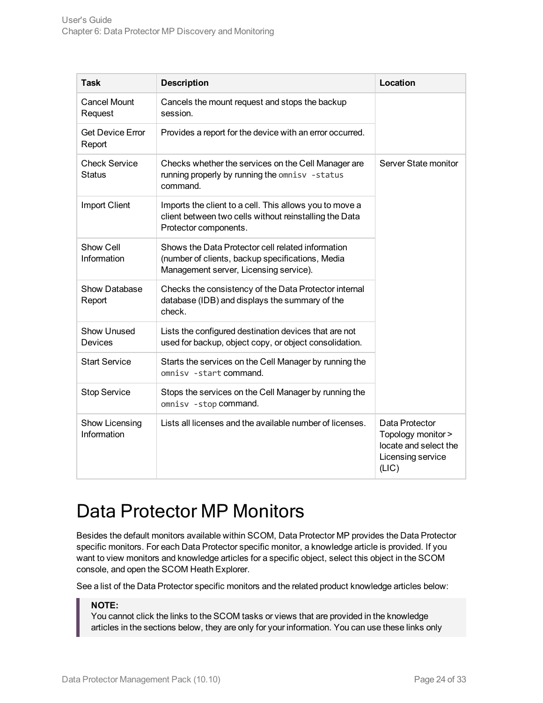| <b>Task</b>                           | <b>Description</b>                                                                                                                              | Location                                                                                    |
|---------------------------------------|-------------------------------------------------------------------------------------------------------------------------------------------------|---------------------------------------------------------------------------------------------|
| <b>Cancel Mount</b><br>Request        | Cancels the mount request and stops the backup<br>session.                                                                                      |                                                                                             |
| <b>Get Device Error</b><br>Report     | Provides a report for the device with an error occurred.                                                                                        |                                                                                             |
| <b>Check Service</b><br><b>Status</b> | Checks whether the services on the Cell Manager are<br>running properly by running the omnisv - status<br>command.                              | Server State monitor                                                                        |
| <b>Import Client</b>                  | Imports the client to a cell. This allows you to move a<br>client between two cells without reinstalling the Data<br>Protector components.      |                                                                                             |
| Show Cell<br>Information              | Shows the Data Protector cell related information<br>(number of clients, backup specifications, Media<br>Management server, Licensing service). |                                                                                             |
| Show Database<br>Report               | Checks the consistency of the Data Protector internal<br>database (IDB) and displays the summary of the<br>check.                               |                                                                                             |
| <b>Show Unused</b><br>Devices         | Lists the configured destination devices that are not<br>used for backup, object copy, or object consolidation.                                 |                                                                                             |
| <b>Start Service</b>                  | Starts the services on the Cell Manager by running the<br>omnisy -start command.                                                                |                                                                                             |
| <b>Stop Service</b>                   | Stops the services on the Cell Manager by running the<br>omnisv - stop command.                                                                 |                                                                                             |
| Show Licensing<br>Information         | Lists all licenses and the available number of licenses.                                                                                        | Data Protector<br>Topology monitor ><br>locate and select the<br>Licensing service<br>(LIC) |

## <span id="page-23-0"></span>Data Protector MP Monitors

Besides the default monitors available within SCOM, Data Protector MP provides the Data Protector specific monitors. For each Data Protector specific monitor, a knowledge article is provided. If you want to view monitors and knowledge articles for a specific object, select this object in the SCOM console, and open the SCOM Heath Explorer.

See a list of the Data Protector specific monitors and the related product knowledge articles below:

#### **NOTE:**

You cannot click the links to the SCOM tasks or views that are provided in the knowledge articles in the sections below, they are only for your information. You can use these links only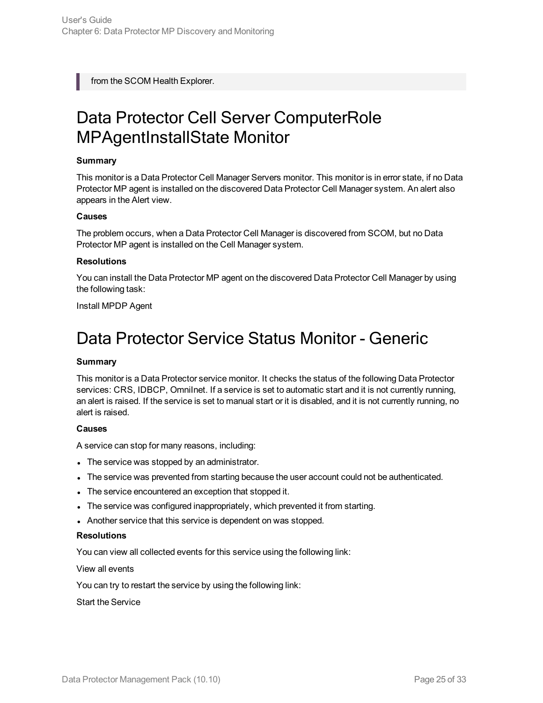<span id="page-24-0"></span>from the SCOM Health Explorer.

### Data Protector Cell Server ComputerRole MPAgentInstallState Monitor

#### **Summary**

This monitor is a Data Protector Cell Manager Servers monitor. This monitor is in error state, if no Data Protector MP agent is installed on the discovered Data Protector Cell Manager system. An alert also appears in the Alert view.

#### **Causes**

The problem occurs, when a Data Protector Cell Manager is discovered from SCOM, but no Data Protector MP agent is installed on the Cell Manager system.

#### **Resolutions**

You can install the Data Protector MP agent on the discovered Data Protector Cell Manager by using the following task:

<span id="page-24-1"></span>Install MPDP Agent

### Data Protector Service Status Monitor - Generic

#### **Summary**

This monitor is a Data Protector service monitor. It checks the status of the following Data Protector services: CRS, IDBCP, OmniInet. If a service is set to automatic start and it is not currently running, an alert is raised. If the service is set to manual start or it is disabled, and it is not currently running, no alert is raised.

#### **Causes**

A service can stop for many reasons, including:

- The service was stopped by an administrator.
- The service was prevented from starting because the user account could not be authenticated.
- The service encountered an exception that stopped it.
- The service was configured inappropriately, which prevented it from starting.
- Another service that this service is dependent on was stopped.

#### **Resolutions**

You can view all collected events for this service using the following link:

View all events

You can try to restart the service by using the following link:

Start the Service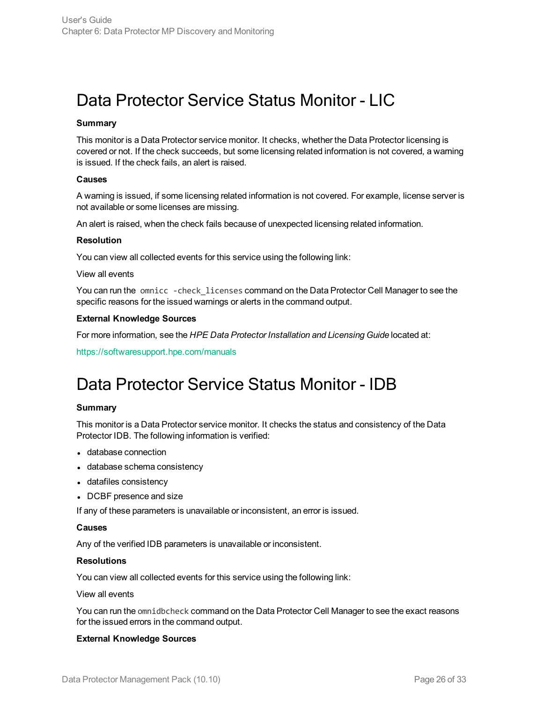### <span id="page-25-0"></span>Data Protector Service Status Monitor - LIC

#### **Summary**

This monitor is a Data Protector service monitor. It checks, whether the Data Protector licensing is covered or not. If the check succeeds, but some licensing related information is not covered, a warning is issued. If the check fails, an alert is raised.

#### **Causes**

A warning is issued, if some licensing related information is not covered. For example, license server is not available or some licenses are missing.

An alert is raised, when the check fails because of unexpected licensing related information.

#### **Resolution**

You can view all collected events for this service using the following link:

#### View all events

You can run the omnicc -check licenses command on the Data Protector Cell Manager to see the specific reasons for the issued warnings or alerts in the command output.

#### **External Knowledge Sources**

For more information, see the *HPE Data Protector Installation and Licensing Guide* located at:

<span id="page-25-1"></span><https://softwaresupport.hpe.com/manuals>

### Data Protector Service Status Monitor - IDB

#### **Summary**

This monitor is a Data Protector service monitor. It checks the status and consistency of the Data Protector IDB. The following information is verified:

- database connection
- database schema consistency
- datafiles consistency
- DCBF presence and size

If any of these parameters is unavailable or inconsistent, an error is issued.

#### **Causes**

Any of the verified IDB parameters is unavailable or inconsistent.

#### **Resolutions**

You can view all collected events for this service using the following link:

View all events

You can run the omnidbcheck command on the Data Protector Cell Manager to see the exact reasons for the issued errors in the command output.

#### **External Knowledge Sources**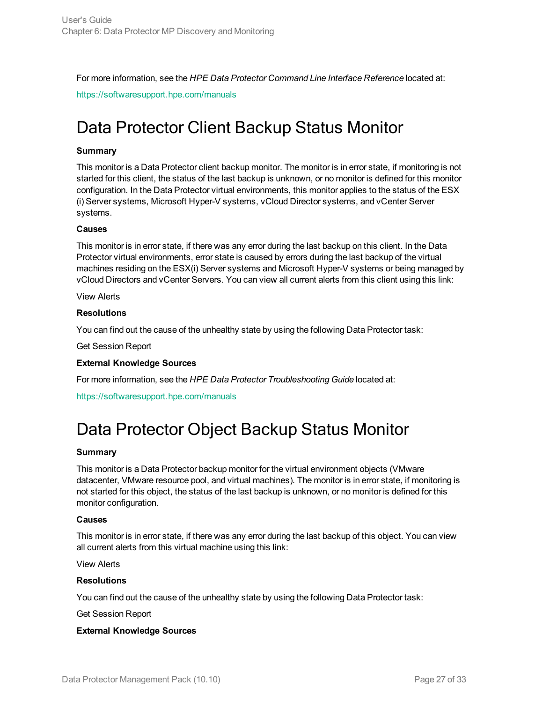For more information, see the *HPE Data Protector Command Line Interface Reference* located at:

<span id="page-26-0"></span><https://softwaresupport.hpe.com/manuals>

### Data Protector Client Backup Status Monitor

#### **Summary**

This monitor is a Data Protector client backup monitor. The monitor is in error state, if monitoring is not started for this client, the status of the last backup is unknown, or no monitor is defined for this monitor configuration. In the Data Protector virtual environments, this monitor applies to the status of the ESX (i) Server systems, Microsoft Hyper-V systems, vCloud Director systems, and vCenter Server systems.

#### **Causes**

This monitor is in error state, if there was any error during the last backup on this client. In the Data Protector virtual environments, error state is caused by errors during the last backup of the virtual machines residing on the ESX(i) Server systems and Microsoft Hyper-V systems or being managed by vCloud Directors and vCenter Servers. You can view all current alerts from this client using this link:

View Alerts

#### **Resolutions**

You can find out the cause of the unhealthy state by using the following Data Protector task:

Get Session Report

#### **External Knowledge Sources**

For more information, see the *HPE Data Protector Troubleshooting Guide* located at:

<span id="page-26-1"></span><https://softwaresupport.hpe.com/manuals>

### Data Protector Object Backup Status Monitor

#### **Summary**

This monitor is a Data Protector backup monitor for the virtual environment objects (VMware datacenter, VMware resource pool, and virtual machines). The monitor is in error state, if monitoring is not started for this object, the status of the last backup is unknown, or no monitor is defined for this monitor configuration.

#### **Causes**

This monitor is in error state, if there was any error during the last backup of this object. You can view all current alerts from this virtual machine using this link:

View Alerts

#### **Resolutions**

You can find out the cause of the unhealthy state by using the following Data Protector task:

Get Session Report

#### **External Knowledge Sources**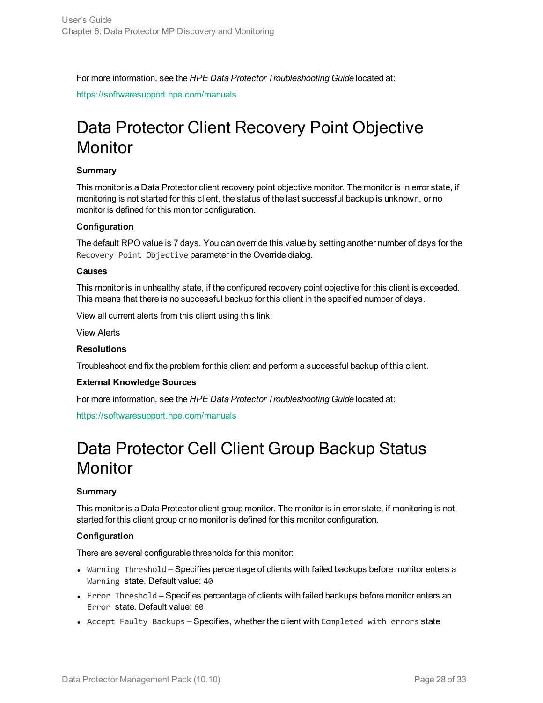For more information, see the *HPE Data Protector Troubleshooting Guide* located at:

<span id="page-27-0"></span><https://softwaresupport.hpe.com/manuals>

### Data Protector Client Recovery Point Objective Monitor

#### **Summary**

This monitor is a Data Protector client recovery point objective monitor. The monitor is in error state, if monitoring is not started for this client, the status of the last successful backup is unknown, or no monitor is defined for this monitor configuration.

#### **Configuration**

The default RPO value is 7 days. You can override this value by setting another number of days for the Recovery Point Objective parameter in the Override dialog.

#### **Causes**

This monitor is in unhealthy state, if the configured recovery point objective for this client is exceeded. This means that there is no successful backup for this client in the specified number of days.

View all current alerts from this client using this link:

View Alerts

#### **Resolutions**

Troubleshoot and fix the problem for this client and perform a successful backup of this client.

#### **External Knowledge Sources**

For more information, see the *HPE Data Protector Troubleshooting Guide* located at:

<span id="page-27-1"></span><https://softwaresupport.hpe.com/manuals>

### Data Protector Cell Client Group Backup Status Monitor

#### **Summary**

This monitor is a Data Protector client group monitor. The monitor is in error state, if monitoring is not started for this client group or no monitor is defined for this monitor configuration.

#### **Configuration**

There are several configurable thresholds for this monitor:

- Warning Threshold Specifies percentage of clients with failed backups before monitor enters a Warning state. Default value: 40
- Error Threshold Specifies percentage of clients with failed backups before monitor enters an Error state. Default value: 60
- Accept Faulty Backups Specifies, whether the client with Completed with errors state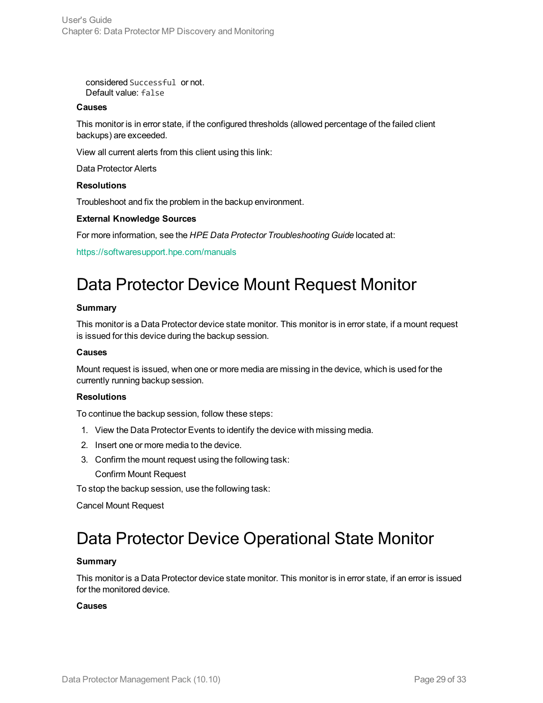considered Successful or not. Default value: false

#### **Causes**

This monitor is in error state, if the configured thresholds (allowed percentage of the failed client backups) are exceeded.

View all current alerts from this client using this link:

Data Protector Alerts

#### **Resolutions**

Troubleshoot and fix the problem in the backup environment.

#### **External Knowledge Sources**

For more information, see the *HPE Data Protector Troubleshooting Guide* located at:

<span id="page-28-0"></span><https://softwaresupport.hpe.com/manuals>

### Data Protector Device Mount Request Monitor

#### **Summary**

This monitor is a Data Protector device state monitor. This monitor is in error state, if a mount request is issued for this device during the backup session.

#### **Causes**

Mount request is issued, when one or more media are missing in the device, which is used for the currently running backup session.

#### **Resolutions**

To continue the backup session, follow these steps:

- 1. View the Data Protector Events to identify the device with missing media.
- 2. Insert one or more media to the device.
- 3. Confirm the mount request using the following task:
	- Confirm Mount Request

To stop the backup session, use the following task:

<span id="page-28-1"></span>Cancel Mount Request

### Data Protector Device Operational State Monitor

#### **Summary**

This monitor is a Data Protector device state monitor. This monitor is in error state, if an error is issued for the monitored device.

#### **Causes**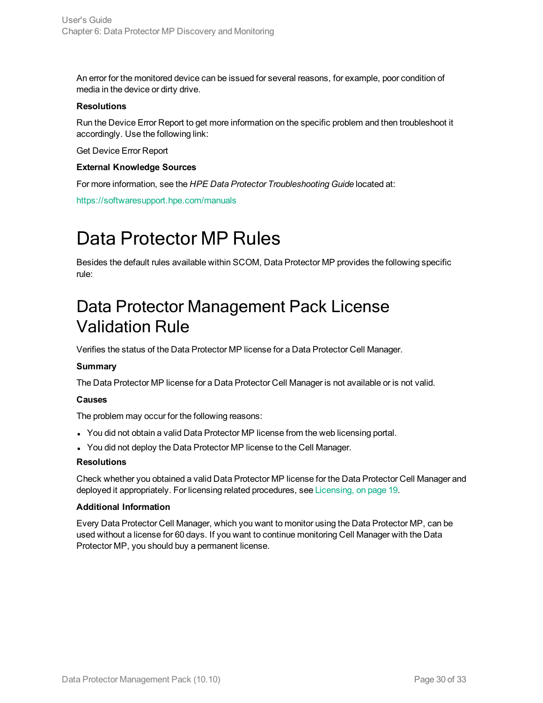An error for the monitored device can be issued for several reasons, for example, poor condition of media in the device or dirty drive.

#### **Resolutions**

Run the Device Error Report to get more information on the specific problem and then troubleshoot it accordingly. Use the following link:

Get Device Error Report

#### **External Knowledge Sources**

For more information, see the *HPE Data Protector Troubleshooting Guide* located at:

<span id="page-29-0"></span><https://softwaresupport.hpe.com/manuals>

# Data Protector MP Rules

Besides the default rules available within SCOM, Data Protector MP provides the following specific rule:

### <span id="page-29-1"></span>Data Protector Management Pack License Validation Rule

Verifies the status of the Data Protector MP license for a Data Protector Cell Manager.

#### **Summary**

The Data Protector MP license for a Data Protector Cell Manager is not available or is not valid.

#### **Causes**

The problem may occur for the following reasons:

- You did not obtain a valid Data Protector MP license from the web licensing portal.
- You did not deploy the Data Protector MP license to the Cell Manager.

#### **Resolutions**

Check whether you obtained a valid Data Protector MP license for the Data Protector Cell Manager and deployed it appropriately. For licensing related procedures, see [Licensing,](#page-18-0) on page 19.

#### **Additional Information**

Every Data Protector Cell Manager, which you want to monitor using the Data Protector MP, can be used without a license for 60 days. If you want to continue monitoring Cell Manager with the Data Protector MP, you should buy a permanent license.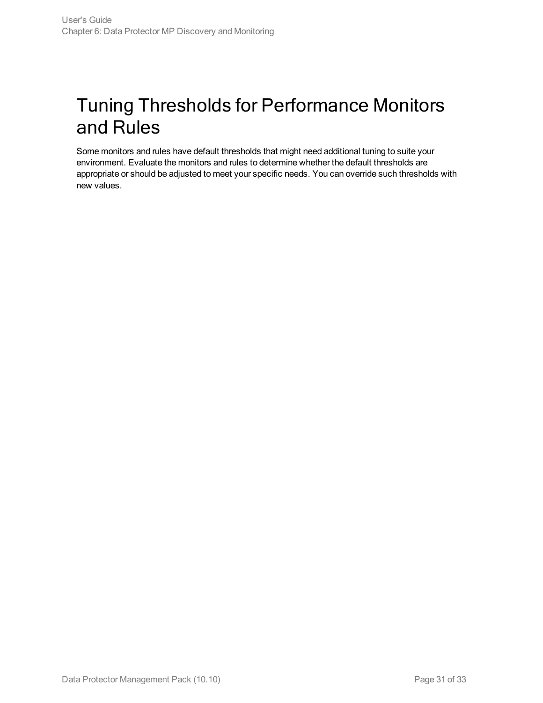## <span id="page-30-0"></span>Tuning Thresholds for Performance Monitors and Rules

Some monitors and rules have default thresholds that might need additional tuning to suite your environment. Evaluate the monitors and rules to determine whether the default thresholds are appropriate or should be adjusted to meet your specific needs. You can override such thresholds with new values.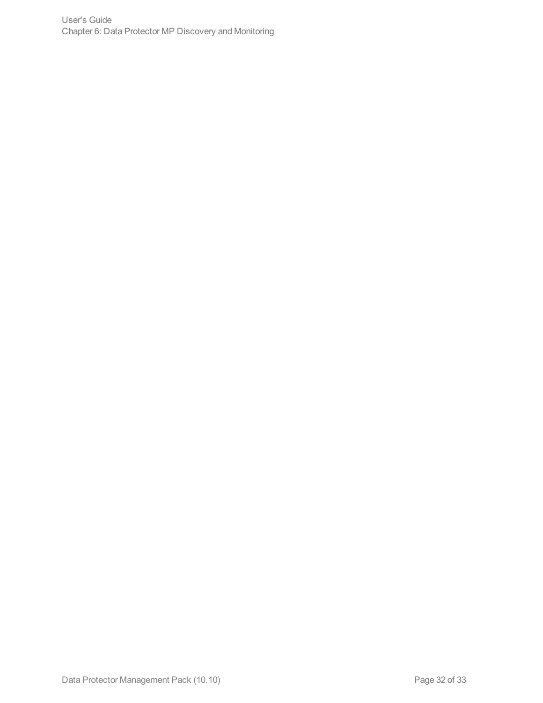User's Guide Chapter 6: Data Protector MP Discovery and Monitoring